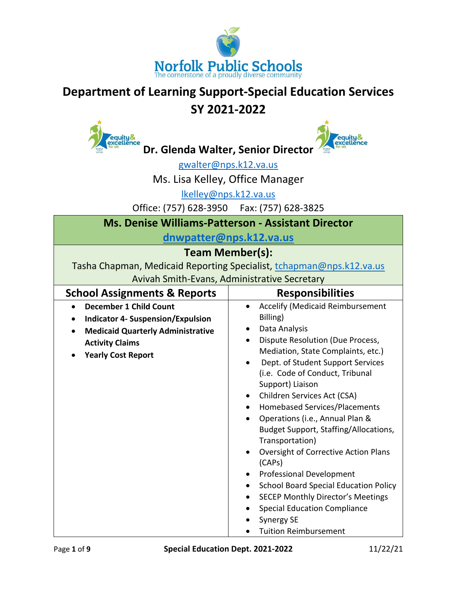

## **Department of Learning Support-Special Education Services**

# **SY 2021-2022**

equity&<br>excellence

**Dr. Glenda Walter, Senior Director**



[gwalter@nps.k12.va.us](mailto:gwalter@nps.k12.va.us)

Ms. Lisa Kelley, Office Manager

[lkelley@nps.k12.va.us](mailto:lkelley@nps.k12.va.us)

Office: (757) 628-3950 Fax: (757) 628-3825

|  |  | <b>Ms. Denise Williams-Patterson - Assistant Director</b> |  |  |
|--|--|-----------------------------------------------------------|--|--|
|--|--|-----------------------------------------------------------|--|--|

**[dnwpatter@nps.k12.va.us](mailto:dnwpatter@nps.k12.va.us)**

### **Team Member(s):**

Tasha Chapman, Medicaid Reporting Specialist, [tchapman@nps.k12.va.us](mailto:tchapman@nps.k12.va.us) Avivah Smith-Evans, Administrative Secretary

| <b>School Assignments &amp; Reports</b>                                                                                                                                      | <b>Responsibilities</b>                                                                                                                                                                                                                                                                                                                                                                                                                                                                                                                                                                                                                                                                                                                                           |
|------------------------------------------------------------------------------------------------------------------------------------------------------------------------------|-------------------------------------------------------------------------------------------------------------------------------------------------------------------------------------------------------------------------------------------------------------------------------------------------------------------------------------------------------------------------------------------------------------------------------------------------------------------------------------------------------------------------------------------------------------------------------------------------------------------------------------------------------------------------------------------------------------------------------------------------------------------|
| <b>December 1 Child Count</b><br><b>Indicator 4- Suspension/Expulsion</b><br><b>Medicaid Quarterly Administrative</b><br><b>Activity Claims</b><br><b>Yearly Cost Report</b> | <b>Accelify (Medicaid Reimbursement</b><br>$\bullet$<br>Billing)<br>Data Analysis<br>$\bullet$<br>Dispute Resolution (Due Process,<br>Mediation, State Complaints, etc.)<br>Dept. of Student Support Services<br>(i.e. Code of Conduct, Tribunal<br>Support) Liaison<br>Children Services Act (CSA)<br>$\bullet$<br>Homebased Services/Placements<br>$\bullet$<br>Operations (i.e., Annual Plan &<br>Budget Support, Staffing/Allocations,<br>Transportation)<br>Oversight of Corrective Action Plans<br>$\bullet$<br>(CAPs)<br><b>Professional Development</b><br>٠<br><b>School Board Special Education Policy</b><br>٠<br><b>SECEP Monthly Director's Meetings</b><br><b>Special Education Compliance</b><br><b>Synergy SE</b><br><b>Tuition Reimbursement</b> |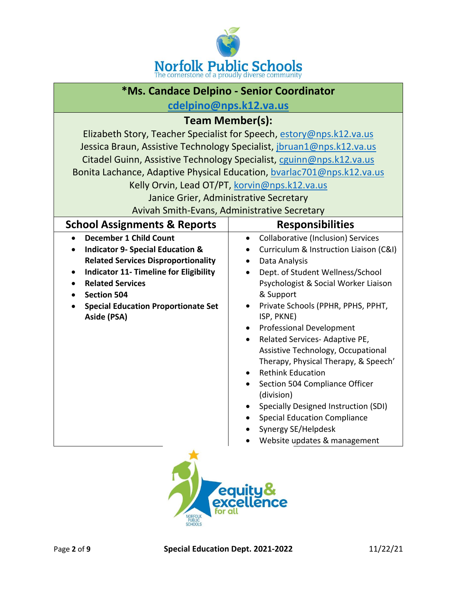

| *Ms. Candace Delpino - Senior Coordinator                 |                                                                        |  |
|-----------------------------------------------------------|------------------------------------------------------------------------|--|
| cdelpino@nps.k12.va.us                                    |                                                                        |  |
|                                                           | <b>Team Member(s):</b>                                                 |  |
|                                                           | Elizabeth Story, Teacher Specialist for Speech, estory@nps.k12.va.us   |  |
|                                                           | Jessica Braun, Assistive Technology Specialist, jbruan1@nps.k12.va.us  |  |
|                                                           | Citadel Guinn, Assistive Technology Specialist, cguinn@nps.k12.va.us   |  |
|                                                           | Bonita Lachance, Adaptive Physical Education, bvarlac701@nps.k12.va.us |  |
|                                                           | Kelly Orvin, Lead OT/PT, korvin@nps.k12.va.us                          |  |
|                                                           | Janice Grier, Administrative Secretary                                 |  |
|                                                           | Avivah Smith-Evans, Administrative Secretary                           |  |
| <b>School Assignments &amp; Reports</b>                   | <b>Responsibilities</b>                                                |  |
| <b>December 1 Child Count</b>                             | <b>Collaborative (Inclusion) Services</b><br>٠                         |  |
| <b>Indicator 9- Special Education &amp;</b><br>$\bullet$  | Curriculum & Instruction Liaison (C&I)<br>٠                            |  |
| <b>Related Services Disproportionality</b>                | Data Analysis<br>$\bullet$                                             |  |
| <b>Indicator 11- Timeline for Eligibility</b><br>٠        | Dept. of Student Wellness/School                                       |  |
| <b>Related Services</b><br>$\bullet$                      | Psychologist & Social Worker Liaison                                   |  |
| <b>Section 504</b>                                        | & Support                                                              |  |
| <b>Special Education Proportionate Set</b><br>Aside (PSA) | Private Schools (PPHR, PPHS, PPHT,<br>$\bullet$<br>ISP, PKNE)          |  |
|                                                           | <b>Professional Development</b><br>$\bullet$                           |  |
|                                                           | Related Services- Adaptive PE,                                         |  |
|                                                           | Assistive Technology, Occupational                                     |  |
|                                                           | Therapy, Physical Therapy, & Speech'                                   |  |
|                                                           | <b>Rethink Education</b><br>$\bullet$                                  |  |
|                                                           | Section 504 Compliance Officer                                         |  |
|                                                           | (division)<br>Specially Designed Instruction (SDI)                     |  |
|                                                           | <b>Special Education Compliance</b>                                    |  |
|                                                           | Synergy SE/Helpdesk                                                    |  |
|                                                           | Website updates & management                                           |  |
| equity&<br>excellence<br>for all<br>NORFOLK               |                                                                        |  |

NORFOLK<br>PUBLIC<br>SCHOOLS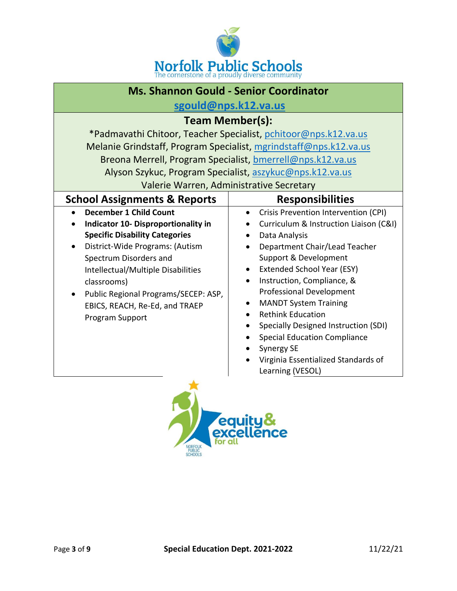

| <b>Ms. Shannon Gould - Senior Coordinator</b>                                                                                                                                                                                                                                                                                                                                                                                                                                                                             |  |  |
|---------------------------------------------------------------------------------------------------------------------------------------------------------------------------------------------------------------------------------------------------------------------------------------------------------------------------------------------------------------------------------------------------------------------------------------------------------------------------------------------------------------------------|--|--|
| sgould@nps.k12.va.us                                                                                                                                                                                                                                                                                                                                                                                                                                                                                                      |  |  |
| <b>Team Member(s):</b>                                                                                                                                                                                                                                                                                                                                                                                                                                                                                                    |  |  |
| *Padmavathi Chitoor, Teacher Specialist, pchitoor@nps.k12.va.us                                                                                                                                                                                                                                                                                                                                                                                                                                                           |  |  |
| Melanie Grindstaff, Program Specialist, mgrindstaff@nps.k12.va.us                                                                                                                                                                                                                                                                                                                                                                                                                                                         |  |  |
| Breona Merrell, Program Specialist, bmerrell@nps.k12.va.us                                                                                                                                                                                                                                                                                                                                                                                                                                                                |  |  |
| Alyson Szykuc, Program Specialist, aszykuc@nps.k12.va.us                                                                                                                                                                                                                                                                                                                                                                                                                                                                  |  |  |
| Valerie Warren, Administrative Secretary                                                                                                                                                                                                                                                                                                                                                                                                                                                                                  |  |  |
| <b>Responsibilities</b>                                                                                                                                                                                                                                                                                                                                                                                                                                                                                                   |  |  |
| Crisis Prevention Intervention (CPI)<br>٠<br>Curriculum & Instruction Liaison (C&I)<br>Data Analysis<br>Department Chair/Lead Teacher<br>Support & Development<br><b>Extended School Year (ESY)</b><br>Instruction, Compliance, &<br>$\bullet$<br><b>Professional Development</b><br><b>MANDT System Training</b><br><b>Rethink Education</b><br>Specially Designed Instruction (SDI)<br><b>Special Education Compliance</b><br>$\bullet$<br><b>Synergy SE</b><br>Virginia Essentialized Standards of<br>Learning (VESOL) |  |  |
|                                                                                                                                                                                                                                                                                                                                                                                                                                                                                                                           |  |  |

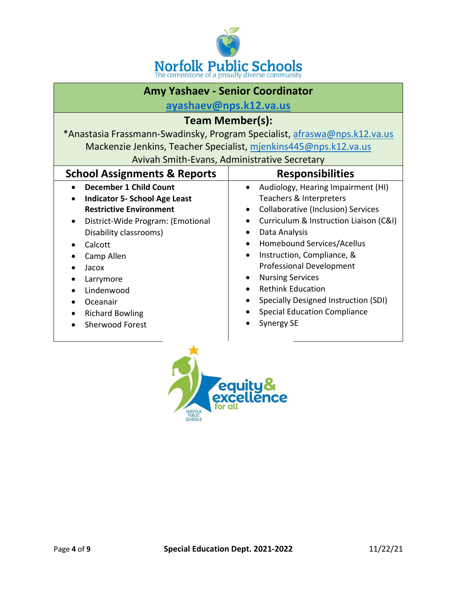

#### **Amy Yashaev - Senior Coordinator**

**[ayashaev@nps.k12.va.us](mailto:ayashaev@nps.k12.va.us)**

| <b>Team Member(s):</b>                                                    |                                                                  |  |
|---------------------------------------------------------------------------|------------------------------------------------------------------|--|
| *Anastasia Frassmann-Swadinsky, Program Specialist, afraswa@nps.k12.va.us |                                                                  |  |
|                                                                           | Mackenzie Jenkins, Teacher Specialist, mjenkins445@nps.k12.va.us |  |
|                                                                           | Avivah Smith-Evans, Administrative Secretary                     |  |
| <b>School Assignments &amp; Reports</b><br><b>Responsibilities</b>        |                                                                  |  |
| <b>December 1 Child Count</b>                                             | Audiology, Hearing Impairment (HI)                               |  |
| <b>Indicator 5- School Age Least</b>                                      | Teachers & Interpreters                                          |  |
| <b>Restrictive Environment</b>                                            | Collaborative (Inclusion) Services<br>$\bullet$                  |  |
| District-Wide Program: (Emotional<br>٠                                    | Curriculum & Instruction Liaison (C&I)                           |  |
| Disability classrooms)                                                    | Data Analysis                                                    |  |
| Calcott                                                                   | Homebound Services/Acellus                                       |  |
| Camp Allen                                                                | Instruction, Compliance, &                                       |  |
| Jacox                                                                     | <b>Professional Development</b>                                  |  |
| Larrymore                                                                 | <b>Nursing Services</b><br>$\bullet$                             |  |
| Lindenwood                                                                | <b>Rethink Education</b>                                         |  |
| Oceanair                                                                  | Specially Designed Instruction (SDI)                             |  |
| <b>Richard Bowling</b>                                                    | <b>Special Education Compliance</b>                              |  |
| <b>Sherwood Forest</b>                                                    | <b>Synergy SE</b>                                                |  |

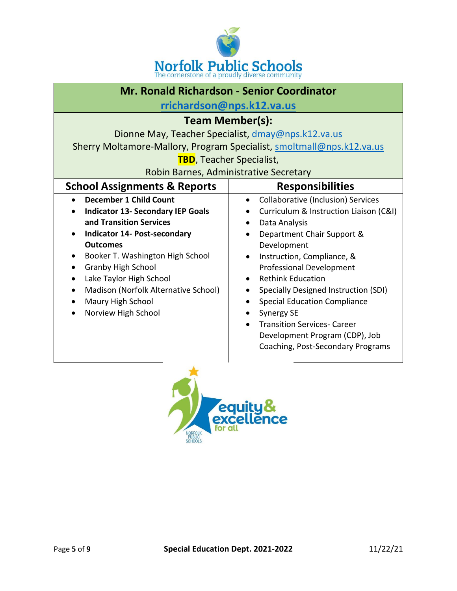

| Mr. Ronald Richardson - Senior Coordinator                                                                                                                                                                                                                                                                                                                  |                                                                                                                                                                                                                                                                                                                                                                                                                                                                                    |  |
|-------------------------------------------------------------------------------------------------------------------------------------------------------------------------------------------------------------------------------------------------------------------------------------------------------------------------------------------------------------|------------------------------------------------------------------------------------------------------------------------------------------------------------------------------------------------------------------------------------------------------------------------------------------------------------------------------------------------------------------------------------------------------------------------------------------------------------------------------------|--|
| rrichardson@nps.k12.va.us                                                                                                                                                                                                                                                                                                                                   |                                                                                                                                                                                                                                                                                                                                                                                                                                                                                    |  |
| Team Member(s):                                                                                                                                                                                                                                                                                                                                             |                                                                                                                                                                                                                                                                                                                                                                                                                                                                                    |  |
| Dionne May, Teacher Specialist, dmay@nps.k12.va.us                                                                                                                                                                                                                                                                                                          |                                                                                                                                                                                                                                                                                                                                                                                                                                                                                    |  |
|                                                                                                                                                                                                                                                                                                                                                             | Sherry Moltamore-Mallory, Program Specialist, smoltmall@nps.k12.va.us                                                                                                                                                                                                                                                                                                                                                                                                              |  |
| <b>TBD</b> , Teacher Specialist,                                                                                                                                                                                                                                                                                                                            |                                                                                                                                                                                                                                                                                                                                                                                                                                                                                    |  |
| Robin Barnes, Administrative Secretary                                                                                                                                                                                                                                                                                                                      |                                                                                                                                                                                                                                                                                                                                                                                                                                                                                    |  |
| <b>School Assignments &amp; Reports</b>                                                                                                                                                                                                                                                                                                                     | <b>Responsibilities</b>                                                                                                                                                                                                                                                                                                                                                                                                                                                            |  |
| <b>December 1 Child Count</b><br><b>Indicator 13- Secondary IEP Goals</b><br>and Transition Services<br><b>Indicator 14- Post-secondary</b><br><b>Outcomes</b><br>Booker T. Washington High School<br><b>Granby High School</b><br>$\bullet$<br>Lake Taylor High School<br>Madison (Norfolk Alternative School)<br>Maury High School<br>Norview High School | <b>Collaborative (Inclusion) Services</b><br>Curriculum & Instruction Liaison (C&I)<br>Data Analysis<br>$\bullet$<br>Department Chair Support &<br>Development<br>Instruction, Compliance, &<br><b>Professional Development</b><br><b>Rethink Education</b><br>Specially Designed Instruction (SDI)<br><b>Special Education Compliance</b><br>$\bullet$<br>Synergy SE<br><b>Transition Services- Career</b><br>Development Program (CDP), Job<br>Coaching, Post-Secondary Programs |  |

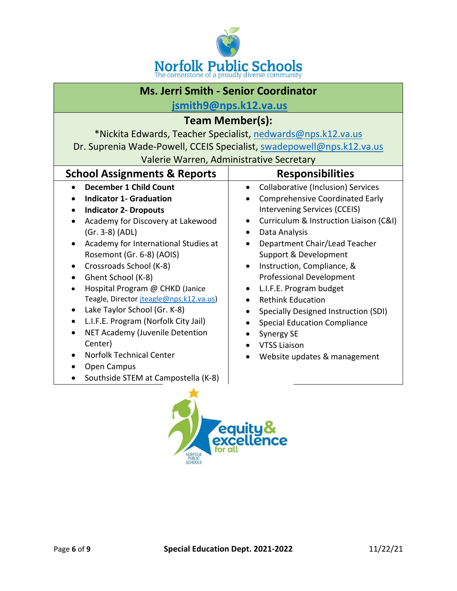

#### **Ms. Jerri Smith - Senior Coordinator**

**[jsmith9@nps.k12.va.us](mailto:jsmith9@nps.k12.va.us)**

#### **Team Member(s):**

\*Nickita Edwards, Teacher Specialist, [nedwards@nps.k12.va.us](mailto:nedwards@nps.k12.va.us)

Dr. Suprenia Wade-Powell, CCEIS Specialist, [swadepowell@nps.k12.va.us](mailto:swadepowell@nps.k12.va.us)

| <b>School Assignments &amp; Reports</b>                                                                                                                                                                                                                                                                                                                                                     | <b>Responsibilities</b>                                                                                                                                                                                                                                                                                                                                                                                                                                                         |
|---------------------------------------------------------------------------------------------------------------------------------------------------------------------------------------------------------------------------------------------------------------------------------------------------------------------------------------------------------------------------------------------|---------------------------------------------------------------------------------------------------------------------------------------------------------------------------------------------------------------------------------------------------------------------------------------------------------------------------------------------------------------------------------------------------------------------------------------------------------------------------------|
| <b>December 1 Child Count</b><br><b>Indicator 1- Graduation</b><br><b>Indicator 2- Dropouts</b><br>Academy for Discovery at Lakewood<br>(Gr. 3-8) (ADL)<br>Academy for International Studies at<br>Rosemont (Gr. 6-8) (AOIS)<br>Crossroads School (K-8)<br>Ghent School (K-8)<br>Hospital Program @ CHKD (Janice<br>Teagle, Director jteagle@nps.k12.va.us)<br>Lake Taylor School (Gr. K-8) | Collaborative (Inclusion) Services<br>$\bullet$<br><b>Comprehensive Coordinated Early</b><br>Intervening Services (CCEIS)<br>Curriculum & Instruction Liaison (C&I)<br>$\bullet$<br>Data Analysis<br>$\bullet$<br>Department Chair/Lead Teacher<br>Support & Development<br>Instruction, Compliance, &<br>$\bullet$<br><b>Professional Development</b><br>L.I.F.E. Program budget<br>$\bullet$<br><b>Rethink Education</b><br>$\bullet$<br>Specially Designed Instruction (SDI) |
| L.I.F.E. Program (Norfolk City Jail)<br>NET Academy (Juvenile Detention<br>Center)<br><b>Norfolk Technical Center</b><br>Open Campus<br>Southside STEM at Campostella (K-8)                                                                                                                                                                                                                 | <b>Special Education Compliance</b><br>Synergy SE<br><b>VTSS Liaison</b><br>Website updates & management                                                                                                                                                                                                                                                                                                                                                                        |

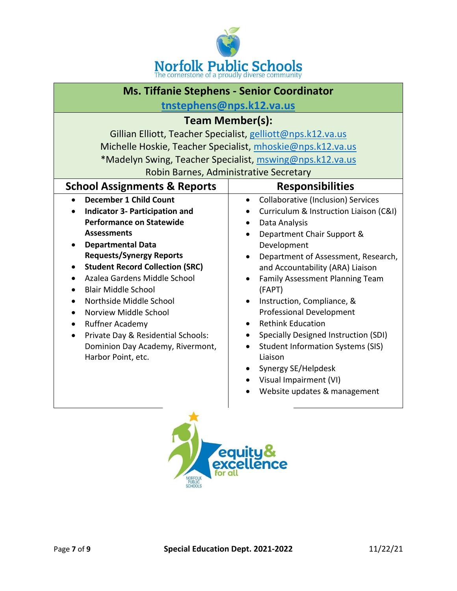

| <b>Ms. Tiffanie Stephens - Senior Coordinator</b>                                                                                                                                                                                                                                                                                                                                                                                                                                                 |                                                                                                                                                                                                                                                                                                                                                                                                                                                                                                                                                                                               |  |
|---------------------------------------------------------------------------------------------------------------------------------------------------------------------------------------------------------------------------------------------------------------------------------------------------------------------------------------------------------------------------------------------------------------------------------------------------------------------------------------------------|-----------------------------------------------------------------------------------------------------------------------------------------------------------------------------------------------------------------------------------------------------------------------------------------------------------------------------------------------------------------------------------------------------------------------------------------------------------------------------------------------------------------------------------------------------------------------------------------------|--|
| tnstephens@nps.k12.va.us                                                                                                                                                                                                                                                                                                                                                                                                                                                                          |                                                                                                                                                                                                                                                                                                                                                                                                                                                                                                                                                                                               |  |
| <b>Team Member(s):</b>                                                                                                                                                                                                                                                                                                                                                                                                                                                                            |                                                                                                                                                                                                                                                                                                                                                                                                                                                                                                                                                                                               |  |
|                                                                                                                                                                                                                                                                                                                                                                                                                                                                                                   | Gillian Elliott, Teacher Specialist, gelliott@nps.k12.va.us                                                                                                                                                                                                                                                                                                                                                                                                                                                                                                                                   |  |
|                                                                                                                                                                                                                                                                                                                                                                                                                                                                                                   | Michelle Hoskie, Teacher Specialist, mhoskie@nps.k12.va.us                                                                                                                                                                                                                                                                                                                                                                                                                                                                                                                                    |  |
|                                                                                                                                                                                                                                                                                                                                                                                                                                                                                                   | *Madelyn Swing, Teacher Specialist, mswing@nps.k12.va.us                                                                                                                                                                                                                                                                                                                                                                                                                                                                                                                                      |  |
|                                                                                                                                                                                                                                                                                                                                                                                                                                                                                                   | Robin Barnes, Administrative Secretary                                                                                                                                                                                                                                                                                                                                                                                                                                                                                                                                                        |  |
| <b>School Assignments &amp; Reports</b>                                                                                                                                                                                                                                                                                                                                                                                                                                                           | <b>Responsibilities</b>                                                                                                                                                                                                                                                                                                                                                                                                                                                                                                                                                                       |  |
| <b>December 1 Child Count</b><br><b>Indicator 3- Participation and</b><br><b>Performance on Statewide</b><br><b>Assessments</b><br><b>Departmental Data</b><br><b>Requests/Synergy Reports</b><br><b>Student Record Collection (SRC)</b><br>Azalea Gardens Middle School<br><b>Blair Middle School</b><br>Northside Middle School<br>Norview Middle School<br><b>Ruffner Academy</b><br>Private Day & Residential Schools:<br>$\bullet$<br>Dominion Day Academy, Rivermont,<br>Harbor Point, etc. | <b>Collaborative (Inclusion) Services</b><br>$\bullet$<br>Curriculum & Instruction Liaison (C&I)<br>Data Analysis<br>Department Chair Support &<br>Development<br>Department of Assessment, Research,<br>and Accountability (ARA) Liaison<br>Family Assessment Planning Team<br>(FAPT)<br>Instruction, Compliance, &<br>$\bullet$<br><b>Professional Development</b><br><b>Rethink Education</b><br>$\bullet$<br>Specially Designed Instruction (SDI)<br><b>Student Information Systems (SIS)</b><br>Liaison<br>Synergy SE/Helpdesk<br>Visual Impairment (VI)<br>Website updates & management |  |

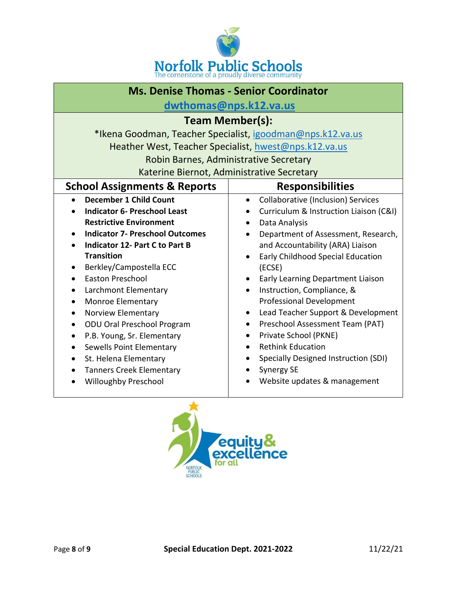

| <b>Ms. Denise Thomas - Senior Coordinator</b> |                                                            |  |
|-----------------------------------------------|------------------------------------------------------------|--|
| dwthomas@nps.k12.va.us                        |                                                            |  |
|                                               | <b>Team Member(s):</b>                                     |  |
|                                               | *Ikena Goodman, Teacher Specialist, igoodman@nps.k12.va.us |  |
|                                               | Heather West, Teacher Specialist, hwest@nps.k12.va.us      |  |
|                                               | Robin Barnes, Administrative Secretary                     |  |
|                                               | Katerine Biernot, Administrative Secretary                 |  |
| <b>School Assignments &amp; Reports</b>       | <b>Responsibilities</b>                                    |  |
| <b>December 1 Child Count</b><br>$\bullet$    | <b>Collaborative (Inclusion) Services</b><br>$\bullet$     |  |
| <b>Indicator 6- Preschool Least</b>           | Curriculum & Instruction Liaison (C&I)                     |  |
| <b>Restrictive Environment</b>                | Data Analysis<br>$\bullet$                                 |  |
| <b>Indicator 7- Preschool Outcomes</b>        | Department of Assessment, Research,<br>$\bullet$           |  |
| <b>Indicator 12- Part C to Part B</b>         | and Accountability (ARA) Liaison                           |  |
| <b>Transition</b>                             | Early Childhood Special Education                          |  |
| Berkley/Campostella ECC                       | (ECSE)                                                     |  |
| <b>Easton Preschool</b>                       | Early Learning Department Liaison                          |  |
| Larchmont Elementary                          | Instruction, Compliance, &                                 |  |
| Monroe Elementary<br>$\bullet$                | <b>Professional Development</b>                            |  |
| <b>Norview Elementary</b><br>$\bullet$        | Lead Teacher Support & Development<br>$\bullet$            |  |
| ODU Oral Preschool Program                    | Preschool Assessment Team (PAT)<br>$\bullet$               |  |
| P.B. Young, Sr. Elementary<br>$\bullet$       | Private School (PKNE)<br>$\bullet$                         |  |
| Sewells Point Elementary                      | <b>Rethink Education</b><br>$\bullet$                      |  |
| St. Helena Elementary                         | Specially Designed Instruction (SDI)                       |  |
| <b>Tanners Creek Elementary</b>               | <b>Synergy SE</b>                                          |  |
| <b>Willoughby Preschool</b>                   | Website updates & management                               |  |
|                                               |                                                            |  |